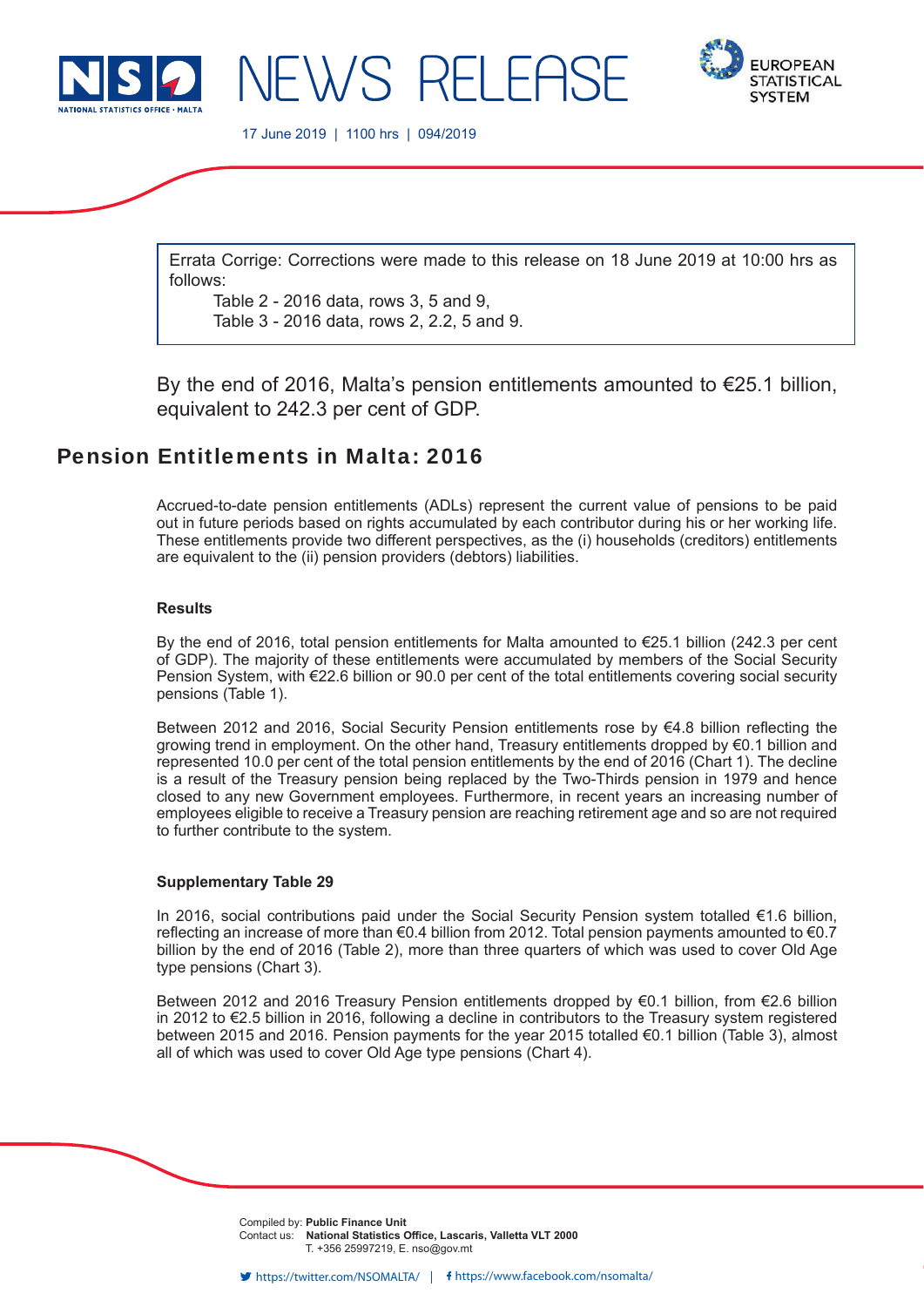



17 June 2019 | 1100 hrs | 094/2019

NEWS RELEAS

Errata Corrige: Corrections were made to this release on 18 June 2019 at 10:00 hrs as follows:

Table 2 - 2016 data, rows 3, 5 and 9, Table 3 - 2016 data, rows 2, 2.2, 5 and 9.

By the end of 2016, Malta's pension entitlements amounted to  $\epsilon$ 25.1 billion, equivalent to 242.3 per cent of GDP.

# Pension Entitlements in Malta: 2016

Accrued-to-date pension entitlements (ADLs) represent the current value of pensions to be paid out in future periods based on rights accumulated by each contributor during his or her working life. These entitlements provide two different perspectives, as the (i) households (creditors) entitlements are equivalent to the (ii) pension providers (debtors) liabilities.

## **Results**

By the end of 2016, total pension entitlements for Malta amounted to €25.1 billion (242.3 per cent of GDP). The majority of these entitlements were accumulated by members of the Social Security Pension System, with €22.6 billion or 90.0 per cent of the total entitlements covering social security pensions (Table 1).

Between 2012 and 2016, Social Security Pension entitlements rose by  $64.8$  billion reflecting the growing trend in employment. On the other hand, Treasury entitlements dropped by €0.1 billion and represented 10.0 per cent of the total pension entitlements by the end of 2016 (Chart 1). The decline is a result of the Treasury pension being replaced by the Two-Thirds pension in 1979 and hence closed to any new Government employees. Furthermore, in recent years an increasing number of employees eligible to receive a Treasury pension are reaching retirement age and so are not required to further contribute to the system.

#### **Supplementary Table 29**

In 2016, social contributions paid under the Social Security Pension system totalled €1.6 billion, reflecting an increase of more than  $€0.4$  billion from 2012. Total pension payments amounted to  $€0.7$ billion by the end of 2016 (Table 2), more than three quarters of which was used to cover Old Age type pensions (Chart 3).

Between 2012 and 2016 Treasury Pension entitlements dropped by €0.1 billion, from €2.6 billion in 2012 to €2.5 billion in 2016, following a decline in contributors to the Treasury system registered between 2015 and 2016. Pension payments for the year 2015 totalled €0.1 billion (Table 3), almost all of which was used to cover Old Age type pensions (Chart 4).

> Compiled by: **Public Finance Unit** Contact us: **National Statistics Office, Lascaris, Valletta VLT 2000** T. +356 25997219, E. nso@gov.mt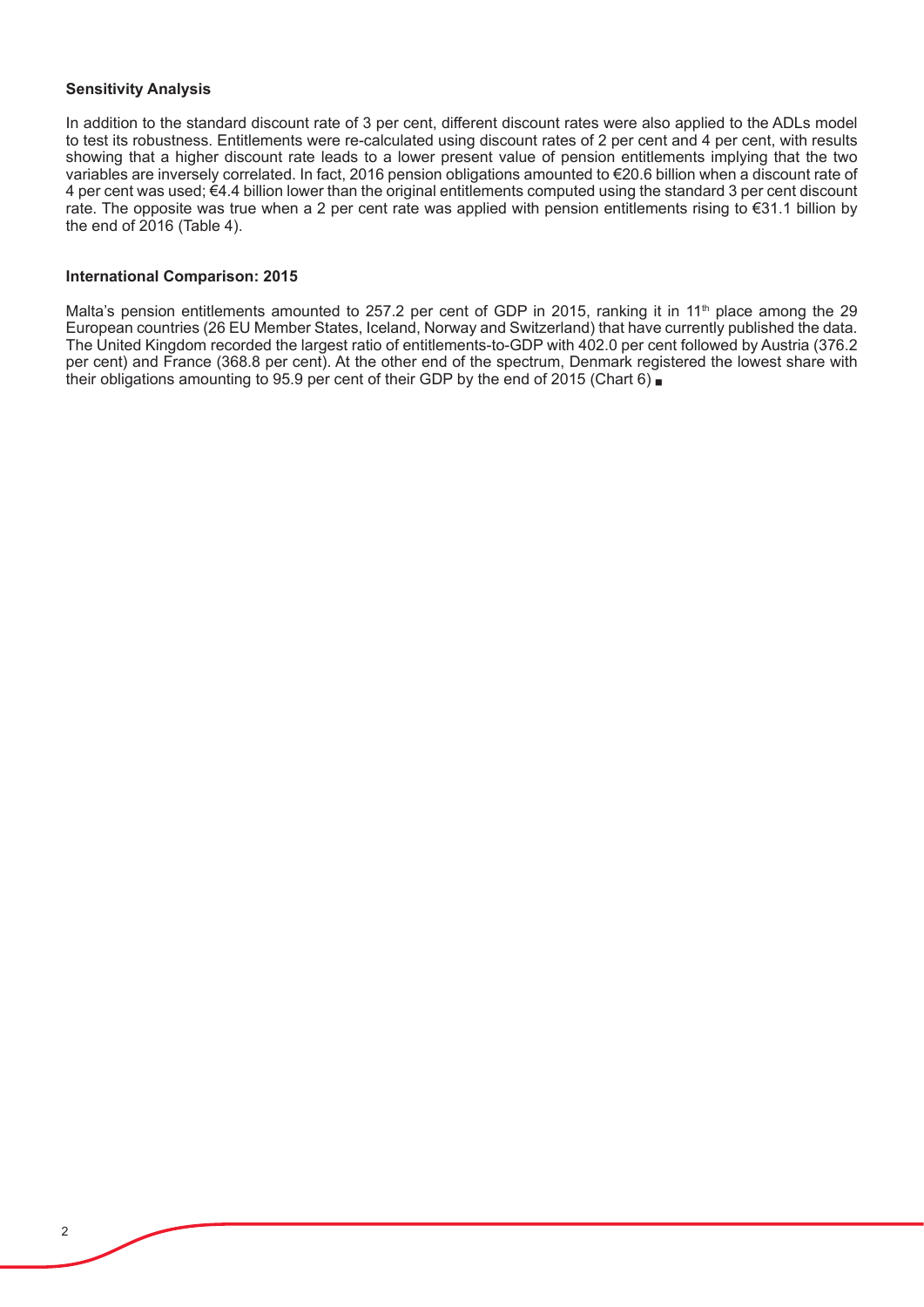#### **Sensitivity Analysis**

In addition to the standard discount rate of 3 per cent, different discount rates were also applied to the ADLs model to test its robustness. Entitlements were re-calculated using discount rates of 2 per cent and 4 per cent, with results showing that a higher discount rate leads to a lower present value of pension entitlements implying that the two variables are inversely correlated. In fact, 2016 pension obligations amounted to €20.6 billion when a discount rate of 4 per cent was used; €4.4 billion lower than the original entitlements computed using the standard 3 per cent discount rate. The opposite was true when a 2 per cent rate was applied with pension entitlements rising to €31.1 billion by the end of  $2016$  (Table 4).

#### **International Comparison: 2015**

Malta's pension entitlements amounted to 257.2 per cent of GDP in 2015, ranking it in 11<sup>th</sup> place among the 29 European countries (26 EU Member States, Iceland, Norway and Switzerland) that have currently published the data. The United Kingdom recorded the largest ratio of entitlements-to-GDP with 402.0 per cent followed by Austria (376.2 per cent) and France (368.8 per cent). At the other end of the spectrum, Denmark registered the lowest share with their obligations amounting to 95.9 per cent of their GDP by the end of 2015 (Chart 6)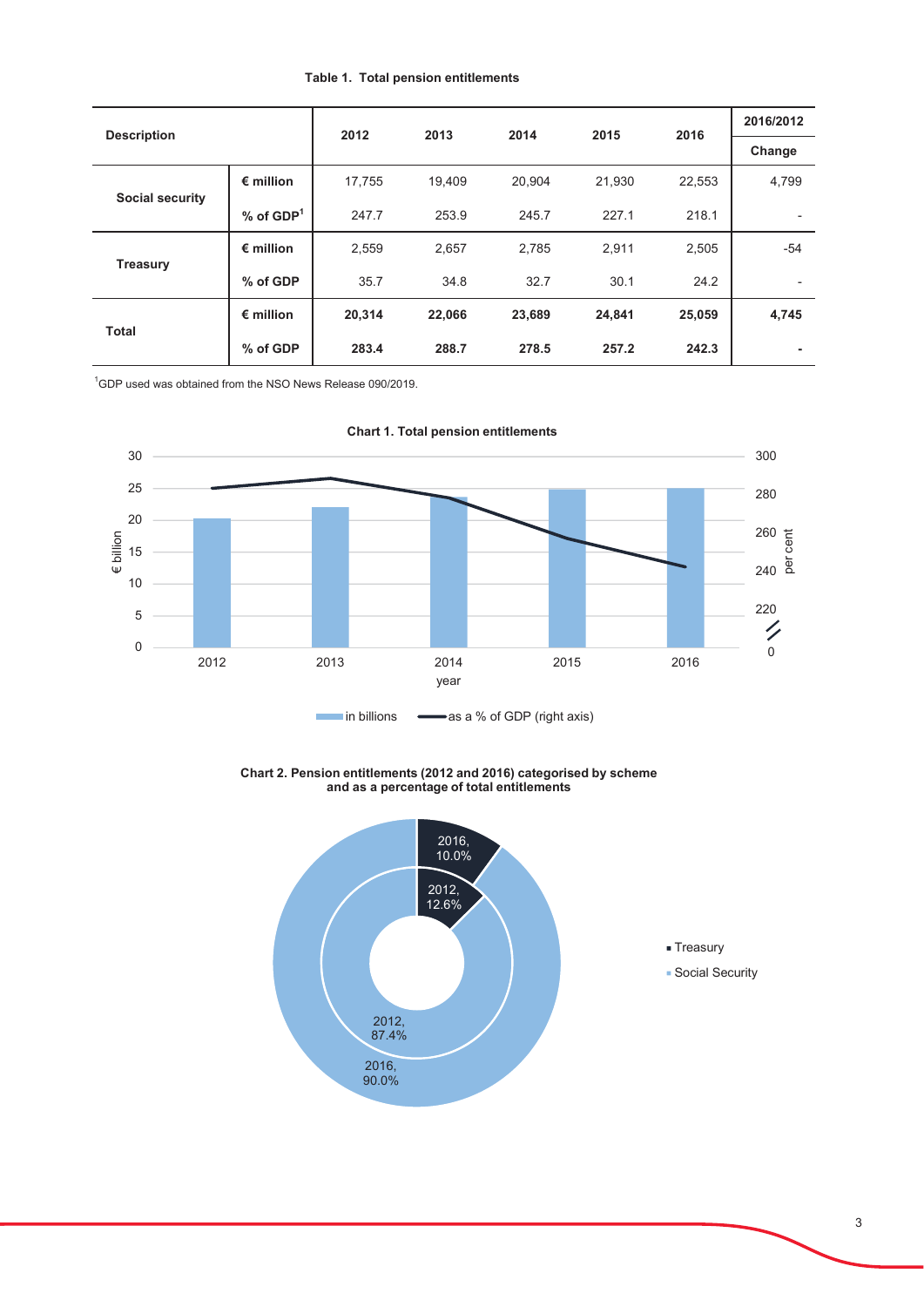#### **Table 1. Total pension entitlements**

| <b>Description</b>     |                    | 2012   | 2013   | 2014   | 2015   | 2016   | 2016/2012 |
|------------------------|--------------------|--------|--------|--------|--------|--------|-----------|
|                        |                    |        |        |        |        |        | Change    |
| <b>Social security</b> | $\epsilon$ million | 17,755 | 19.409 | 20,904 | 21,930 | 22,553 | 4,799     |
|                        | $%$ of $GDP1$      | 247.7  | 253.9  | 245.7  | 227.1  | 218.1  | ۰         |
| <b>Treasury</b>        | $\epsilon$ million | 2,559  | 2,657  | 2,785  | 2,911  | 2,505  | $-54$     |
|                        | % of GDP           | 35.7   | 34.8   | 32.7   | 30.1   | 24.2   | ٠         |
| <b>Total</b>           | $\epsilon$ million | 20,314 | 22,066 | 23,689 | 24,841 | 25,059 | 4,745     |
|                        | % of GDP           | 283.4  | 288.7  | 278.5  | 257.2  | 242.3  | ۰         |

 $^1$ GDP used was obtained from the NSO News Release 090/2019.



**Chart 1. Total pension entitlements** 

Chart 2. Pension entitlements (2012 and 2016) categorised by scheme and as a percentage of total entitlements

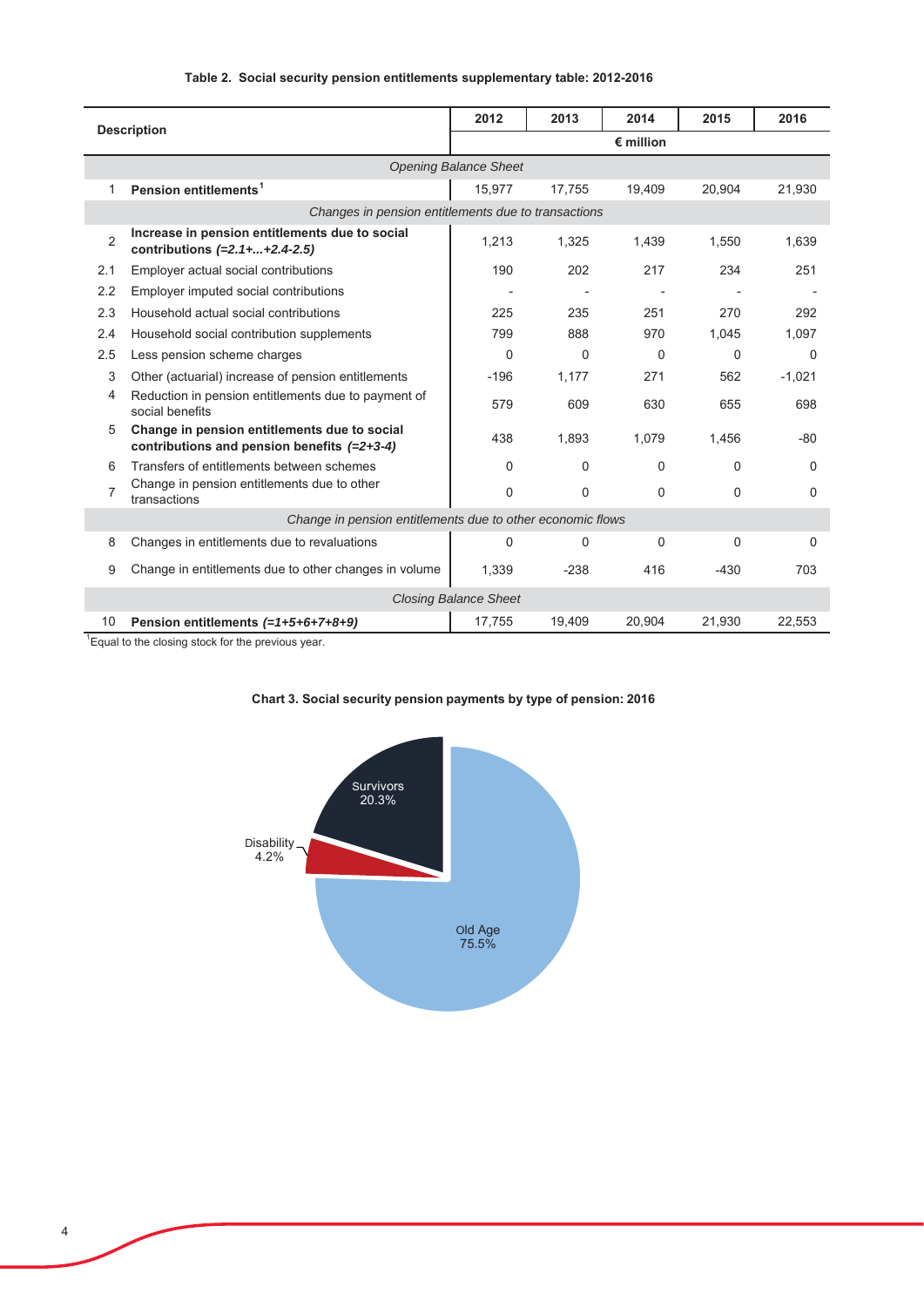| Table 2. Social security pension entitlements supplementary table: 2012-2016 |  |  |  |  |  |
|------------------------------------------------------------------------------|--|--|--|--|--|
|------------------------------------------------------------------------------|--|--|--|--|--|

| <b>Description</b>                                         |                                                                                               | 2012                         | 2013               | 2014     | 2015     | 2016     |  |  |
|------------------------------------------------------------|-----------------------------------------------------------------------------------------------|------------------------------|--------------------|----------|----------|----------|--|--|
|                                                            |                                                                                               |                              | $\epsilon$ million |          |          |          |  |  |
|                                                            |                                                                                               | <b>Opening Balance Sheet</b> |                    |          |          |          |  |  |
| 1                                                          | Pension entitlements <sup>1</sup>                                                             | 15,977                       | 17,755             | 19,409   | 20.904   | 21,930   |  |  |
|                                                            | Changes in pension entitlements due to transactions                                           |                              |                    |          |          |          |  |  |
| $\overline{2}$                                             | Increase in pension entitlements due to social<br>contributions $(=2.1 +  + 2.4 - 2.5)$       | 1,213                        | 1,325              | 1.439    | 1.550    | 1.639    |  |  |
| 2.1                                                        | Employer actual social contributions                                                          | 190                          | 202                | 217      | 234      | 251      |  |  |
| 2.2                                                        | Employer imputed social contributions                                                         |                              |                    |          |          |          |  |  |
| 2.3                                                        | Household actual social contributions                                                         | 225                          | 235                | 251      | 270      | 292      |  |  |
| 2.4                                                        | Household social contribution supplements                                                     | 799                          | 888                | 970      | 1.045    | 1.097    |  |  |
| 2.5                                                        | Less pension scheme charges                                                                   | $\Omega$                     | $\Omega$           | $\Omega$ | $\Omega$ | $\Omega$ |  |  |
| 3                                                          | Other (actuarial) increase of pension entitlements                                            | $-196$                       | 1.177              | 271      | 562      | $-1,021$ |  |  |
| 4                                                          | Reduction in pension entitlements due to payment of<br>social benefits                        | 579                          | 609                | 630      | 655      | 698      |  |  |
| 5                                                          | Change in pension entitlements due to social<br>contributions and pension benefits $(=2+3-4)$ | 438                          | 1,893              | 1,079    | 1,456    | $-80$    |  |  |
| 6                                                          | Transfers of entitlements between schemes                                                     | 0                            | $\Omega$           | $\Omega$ | 0        | $\Omega$ |  |  |
| $\overline{7}$                                             | Change in pension entitlements due to other<br>transactions                                   | $\mathbf 0$                  | $\Omega$           | $\Omega$ | $\Omega$ | 0        |  |  |
| Change in pension entitlements due to other economic flows |                                                                                               |                              |                    |          |          |          |  |  |
| 8                                                          | Changes in entitlements due to revaluations                                                   | 0                            | $\Omega$           | $\Omega$ | $\Omega$ | $\Omega$ |  |  |
| 9                                                          | Change in entitlements due to other changes in volume                                         | 1,339                        | $-238$             | 416      | $-430$   | 703      |  |  |
| <b>Closing Balance Sheet</b>                               |                                                                                               |                              |                    |          |          |          |  |  |
| 10                                                         | Pension entitlements (=1+5+6+7+8+9)                                                           | 17.755                       | 19.409             | 20.904   | 21.930   | 22.553   |  |  |

<sup>1</sup> Equal to the closing stock for the previous year.

l,



## Chart 3. Social security pension payments by type of pension: 2016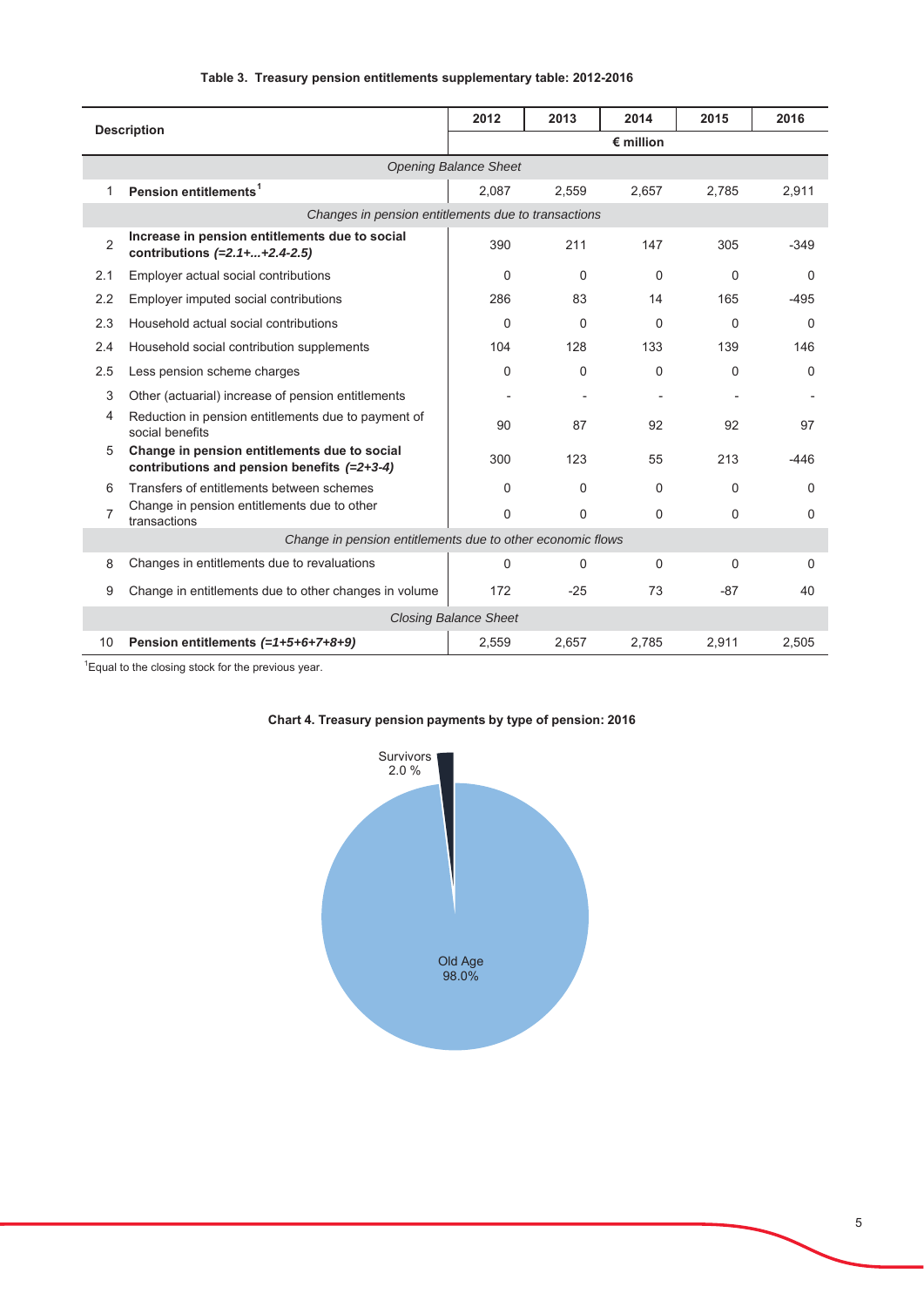| <b>Description</b>           |                                                                                             | 2012  | 2013               | 2014     | 2015     | 2016     |  |  |
|------------------------------|---------------------------------------------------------------------------------------------|-------|--------------------|----------|----------|----------|--|--|
|                              |                                                                                             |       | $\epsilon$ million |          |          |          |  |  |
|                              | <b>Opening Balance Sheet</b>                                                                |       |                    |          |          |          |  |  |
| 1                            | Pension entitlements <sup>1</sup>                                                           | 2,087 | 2,559              | 2,657    | 2,785    | 2,911    |  |  |
|                              | Changes in pension entitlements due to transactions                                         |       |                    |          |          |          |  |  |
| $\overline{2}$               | Increase in pension entitlements due to social<br>contributions $(=2.1 +  + 2.4 - 2.5)$     | 390   | 211                | 147      | 305      | $-349$   |  |  |
| 2.1                          | Employer actual social contributions                                                        | 0     | 0                  | $\Omega$ | 0        | $\Omega$ |  |  |
| 2.2                          | Employer imputed social contributions                                                       | 286   | 83                 | 14       | 165      | $-495$   |  |  |
| 2.3                          | Household actual social contributions                                                       | 0     | $\Omega$           | $\Omega$ | $\Omega$ | $\Omega$ |  |  |
| 2.4                          | Household social contribution supplements                                                   | 104   | 128                | 133      | 139      | 146      |  |  |
| 2.5                          | Less pension scheme charges                                                                 | 0     | 0                  | $\Omega$ | 0        | 0        |  |  |
| 3                            | Other (actuarial) increase of pension entitlements                                          |       |                    |          |          |          |  |  |
| 4                            | Reduction in pension entitlements due to payment of<br>social benefits                      | 90    | 87                 | 92       | 92       | 97       |  |  |
| 5                            | Change in pension entitlements due to social<br>contributions and pension benefits (=2+3-4) | 300   | 123                | 55       | 213      | $-446$   |  |  |
| 6                            | Transfers of entitlements between schemes                                                   | 0     | 0                  | $\Omega$ | 0        | 0        |  |  |
| $\overline{7}$               | Change in pension entitlements due to other<br>transactions                                 | 0     | 0                  | $\Omega$ | $\Omega$ | 0        |  |  |
|                              | Change in pension entitlements due to other economic flows                                  |       |                    |          |          |          |  |  |
| 8                            | Changes in entitlements due to revaluations                                                 | 0     | 0                  | $\Omega$ | $\Omega$ | $\Omega$ |  |  |
| 9                            | Change in entitlements due to other changes in volume                                       | 172   | $-25$              | 73       | $-87$    | 40       |  |  |
| <b>Closing Balance Sheet</b> |                                                                                             |       |                    |          |          |          |  |  |
| 10                           | Pension entitlements $(=1+5+6+7+8+9)$                                                       | 2,559 | 2,657              | 2,785    | 2,911    | 2,505    |  |  |

#### Table 3. Treasury pension entitlements supplementary table: 2012-2016

 $^1$ Equal to the closing stock for the previous year.



# Chart 4. Treasury pension payments by type of pension: 2016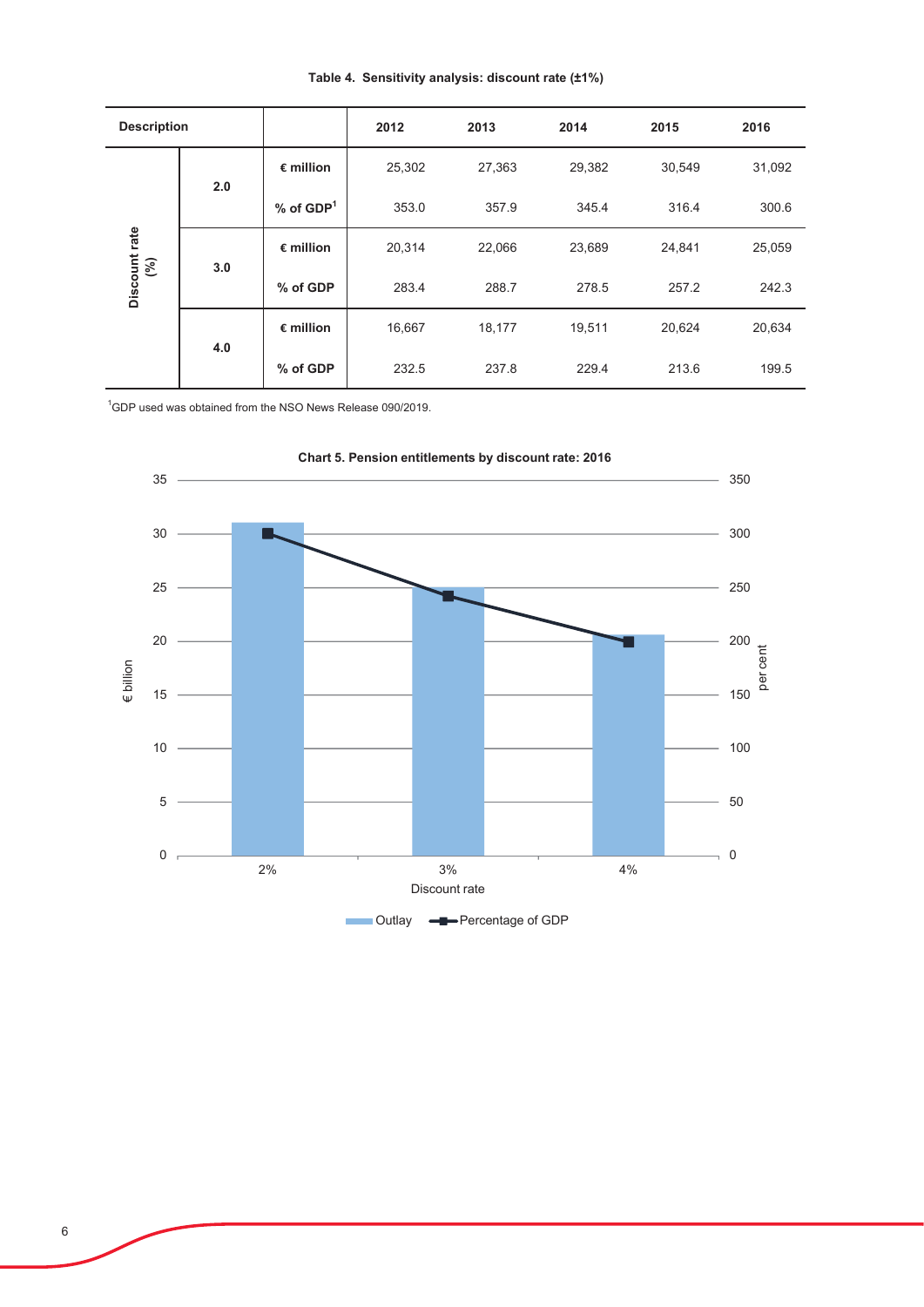| <b>Description</b>   |     |                         | 2012   | 2013   | 2014   | 2015   | 2016   |
|----------------------|-----|-------------------------|--------|--------|--------|--------|--------|
| Discount rate<br>(%) | 2.0 | $\epsilon$ million      | 25,302 | 27,363 | 29,382 | 30,549 | 31,092 |
|                      |     | $%$ of GDP <sup>1</sup> | 353.0  | 357.9  | 345.4  | 316.4  | 300.6  |
|                      | 3.0 | $\epsilon$ million      | 20,314 | 22,066 | 23,689 | 24,841 | 25,059 |
|                      |     | % of GDP                | 283.4  | 288.7  | 278.5  | 257.2  | 242.3  |
|                      | 4.0 | $\epsilon$ million      | 16,667 | 18,177 | 19,511 | 20,624 | 20,634 |
|                      |     | % of GDP                | 232.5  | 237.8  | 229.4  | 213.6  | 199.5  |

## Table 4. Sensitivity analysis: discount rate (±1%)

 $^1$ GDP used was obtained from the NSO News Release 090/2019.

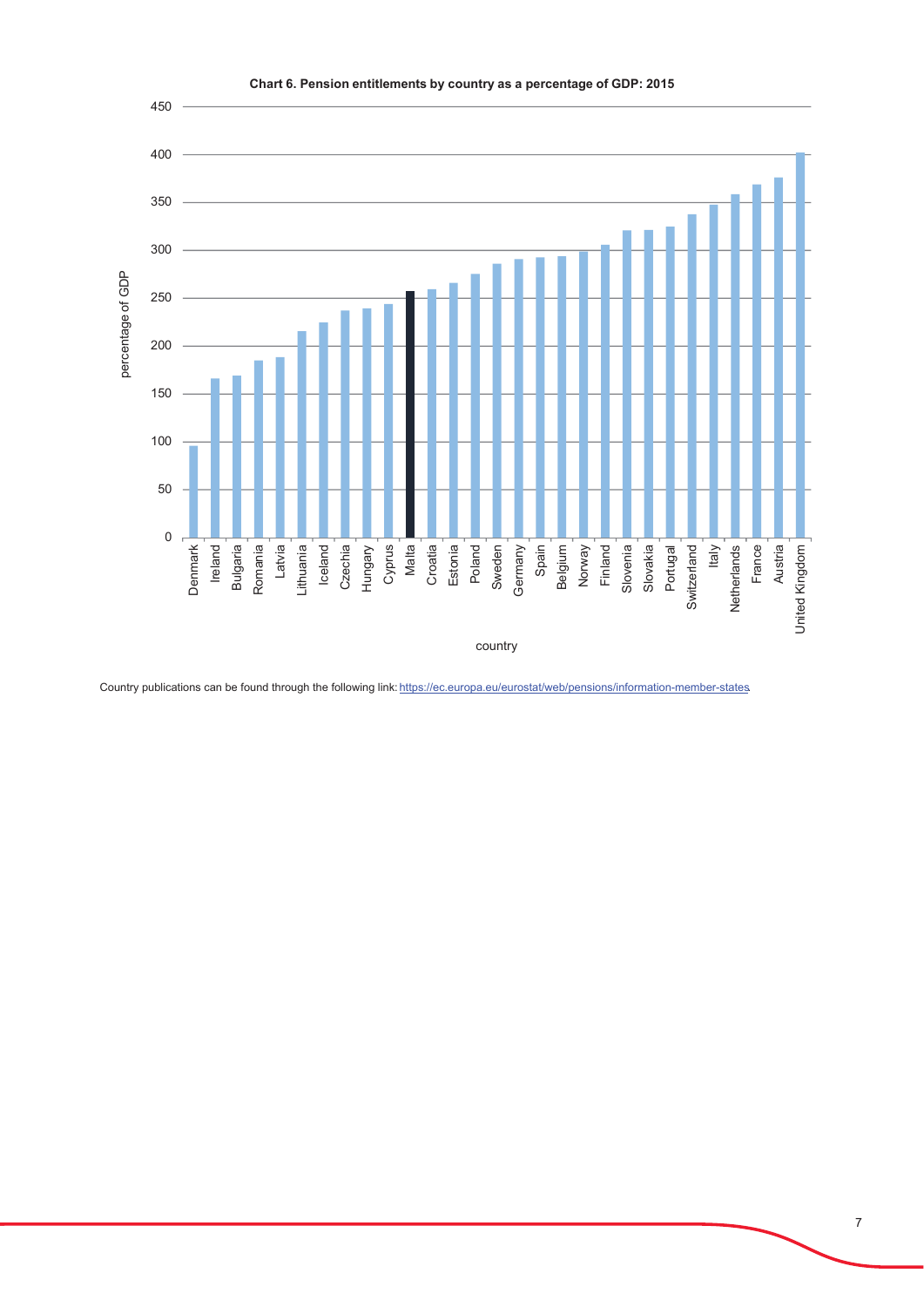

Country publications can be found through the following link: https://ec.europa.eu/eurostat/web/pensions/information-member-states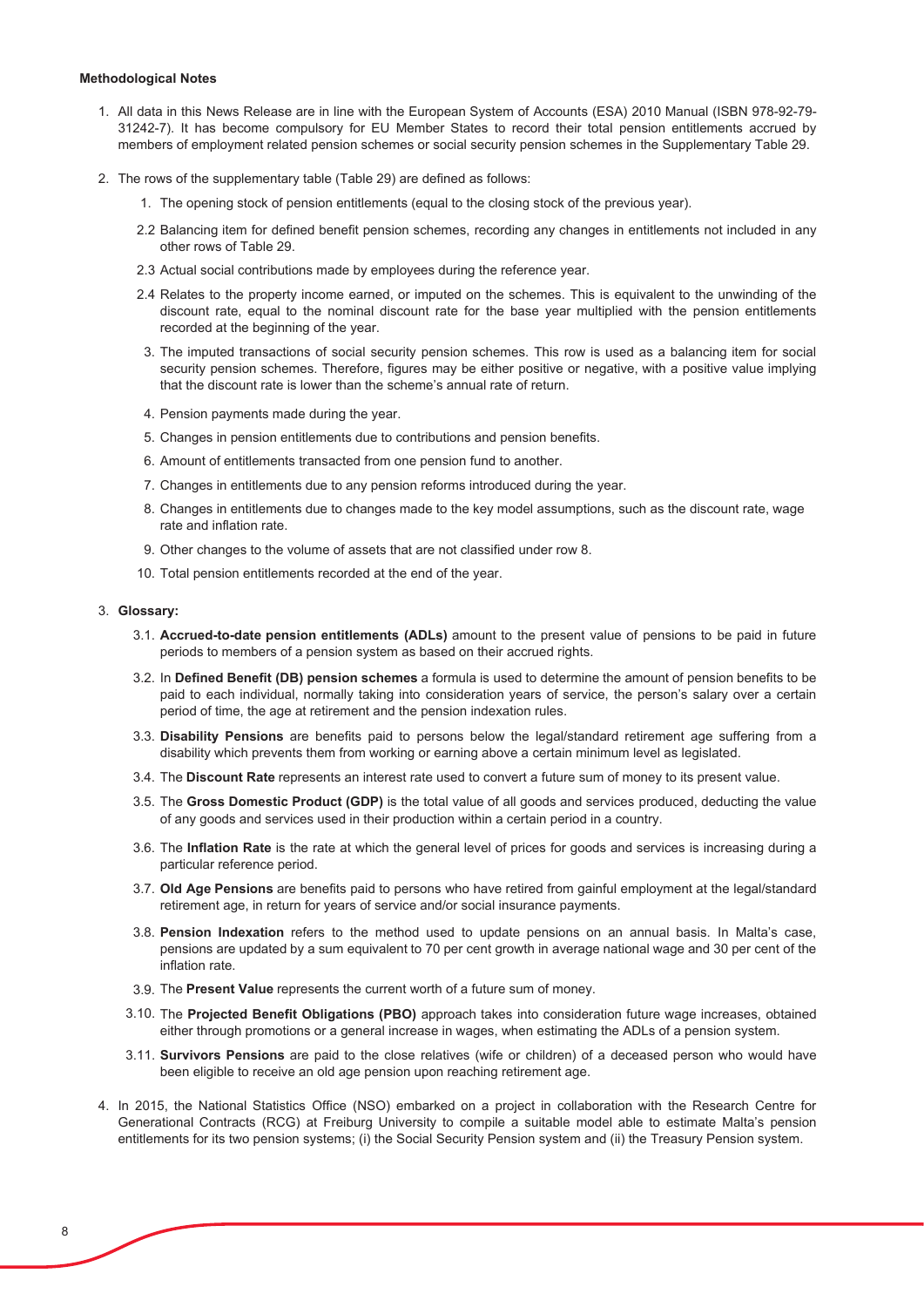#### **Methodological Notes**

- 1. All data in this News Release are in line with the European System of Accounts (ESA) 2010 Manual (ISBN 978-92-79-31242-7). It has become compulsory for EU Member States to record their total pension entitlements accrued by members of employment related pension schemes or social security pension schemes in the Supplementary Table 29.
- 2. The rows of the supplementary table (Table 29) are defined as follows:
	- 1. The opening stock of pension entitlements (equal to the closing stock of the previous year).
	- 2.2 Balancing item for defined benefit pension schemes, recording any changes in entitlements not included in any other rows of Table 29.
	- 2.3 Actual social contributions made by employees during the reference year.
	- 2.4 Relates to the property income earned, or imputed on the schemes. This is equivalent to the unwinding of the discount rate, equal to the nominal discount rate for the base year multiplied with the pension entitlements recorded at the beginning of the year.
	- 3. The imputed transactions of social security pension schemes. This row is used as a balancing item for social security pension schemes. Therefore, figures may be either positive or negative, with a positive value implying that the discount rate is lower than the scheme's annual rate of return.
	- 4. Pension payments made during the year.
	- 5. Changes in pension entitlements due to contributions and pension benefits.
	- 6. Amount of entitlements transacted from one pension fund to another.
	- 7. Changes in entitlements due to any pension reforms introduced during the year.
	- 8. Changes in entitlements due to changes made to the key model assumptions, such as the discount rate, wage rate and inflation rate.
	- 9. Other changes to the volume of assets that are not classified under row 8.
	- 10. Total pension entitlements recorded at the end of the year.

#### 3. Glossary:

- 3.1. Accrued-to-date pension entitlements (ADLs) amount to the present value of pensions to be paid in future periods to members of a pension system as based on their accrued rights.
- 3.2. In Defined Benefit (DB) pension schemes a formula is used to determine the amount of pension benefits to be paid to each individual, normally taking into consideration years of service, the person's salary over a certain period of time, the age at retirement and the pension indexation rules.
- 3.3. Disability Pensions are benefits paid to persons below the legal/standard retirement age suffering from a disability which prevents them from working or earning above a certain minimum level as legislated.
- 3.4. The Discount Rate represents an interest rate used to convert a future sum of money to its present value.
- 3.5. The Gross Domestic Product (GDP) is the total value of all goods and services produced, deducting the value of any goods and services used in their production within a certain period in a country.
- 3.6. The Inflation Rate is the rate at which the general level of prices for goods and services is increasing during a particular reference period.
- 3.7. Old Age Pensions are benefits paid to persons who have retired from gainful employment at the legal/standard retirement age, in return for years of service and/or social insurance payments.
- 3.8. **Pension Indexation** refers to the method used to update pensions on an annual basis. In Malta's case, pensions are updated by a sum equivalent to 70 per cent growth in average national wage and 30 per cent of the inflation rate
- 3.9. The Present Value represents the current worth of a future sum of money.
- 3.10. The Projected Benefit Obligations (PBO) approach takes into consideration future wage increases, obtained either through promotions or a general increase in wages, when estimating the ADLs of a pension system.
- **6X11. Survivors Pensions** are paid to the close relatives (wife or children) of a deceased person who would have been eligible to receive an old age pension upon reaching retirement age.
- 4. In 2015, the National Statistics Office (NSO) embarked on a project in collaboration with the Research Centre for Generational Contracts (RCG) at Freiburg University to compile a suitable model able to estimate Malta's pension entitlements for its two pension systems; (i) the Social Security Pension system and (ii) the Treasury Pension system.